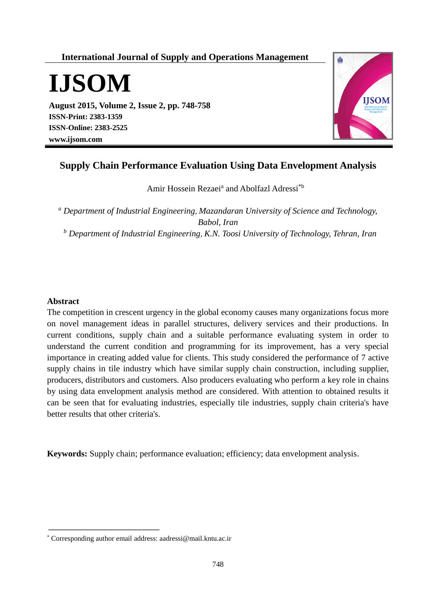## **International Journal of Supply and Operations Management**

**IJSOM**

**August 2015, Volume 2, Issue 2, pp. 748-758 ISSN-Print: 2383-1359 ISSN-Online: 2383-2525 www.ijsom.com**



# **Supply Chain Performance Evaluation Using Data Envelopment Analysis**

Amir Hossein Rezaei<sup>a</sup> and Abolfazl Adressi<sup>\*b</sup>

*<sup>a</sup> Department of Industrial Engineering, Mazandaran University of Science and Technology, Babol, Iran <sup>b</sup> Department of Industrial Engineering, K.N. Toosi University of Technology, Tehran, Iran*

#### **Abstract**

The competition in crescent urgency in the global economy causes many organizations focus more on novel management ideas in parallel structures, delivery services and their productions. In current conditions, supply chain and a suitable performance evaluating system in order to understand the current condition and programming for its improvement, has a very special importance in creating added value for clients. This study considered the performance of 7 active supply chains in tile industry which have similar supply chain construction, including supplier, producers, distributors and customers. Also producers evaluating who perform a key role in chains by using data envelopment analysis method are considered. With attention to obtained results it can be seen that for evaluating industries, especially tile industries, supply chain criteria's have better results that other criteria's.

**Keywords:** Supply chain; performance evaluation; efficiency; data envelopment analysis.

<sup>\*</sup> Corresponding author email address: aadressi@mail.kntu.ac.ir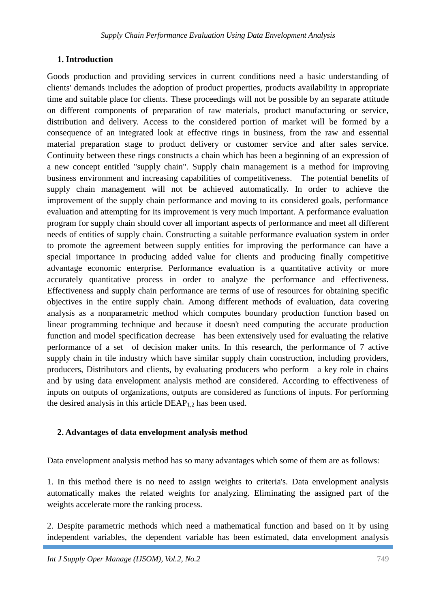### **1. Introduction**

Goods production and providing services in current conditions need a basic understanding of clients' demands includes the adoption of product properties, products availability in appropriate time and suitable place for clients. These proceedings will not be possible by an separate attitude on different components of preparation of raw materials, product manufacturing or service, distribution and delivery. Access to the considered portion of market will be formed by a consequence of an integrated look at effective rings in business, from the raw and essential material preparation stage to product delivery or customer service and after sales service. Continuity between these rings constructs a chain which has been a beginning of an expression of a new concept entitled "supply chain". Supply chain management is a method for improving business environment and increasing capabilities of competitiveness. The potential benefits of supply chain management will not be achieved automatically. In order to achieve the improvement of the supply chain performance and moving to its considered goals, performance evaluation and attempting for its improvement is very much important. A performance evaluation program for supply chain should cover all important aspects of performance and meet all different needs of entities of supply chain. Constructing a suitable performance evaluation system in order to promote the agreement between supply entities for improving the performance can have a special importance in producing added value for clients and producing finally competitive advantage economic enterprise. Performance evaluation is a quantitative activity or more accurately quantitative process in order to analyze the performance and effectiveness. Effectiveness and supply chain performance are terms of use of resources for obtaining specific objectives in the entire supply chain. Among different methods of evaluation, data covering analysis as a nonparametric method which computes boundary production function based on linear programming technique and because it doesn't need computing the accurate production function and model specification decrease has been extensively used for evaluating the relative performance of a set of decision maker units. In this research, the performance of 7 active supply chain in tile industry which have similar supply chain construction, including providers, producers, Distributors and clients, by evaluating producers who perform a key role in chains and by using data envelopment analysis method are considered. According to effectiveness of inputs on outputs of organizations, outputs are considered as functions of inputs. For performing the desired analysis in this article  $DEAP<sub>1,2</sub>$  has been used.

### **2. Advantages of data envelopment analysis method**

Data envelopment analysis method has so many advantages which some of them are as follows:

1. In this method there is no need to assign weights to criteria's. Data envelopment analysis automatically makes the related weights for analyzing. Eliminating the assigned part of the weights accelerate more the ranking process.

2. Despite parametric methods which need a mathematical function and based on it by using independent variables, the dependent variable has been estimated, data envelopment analysis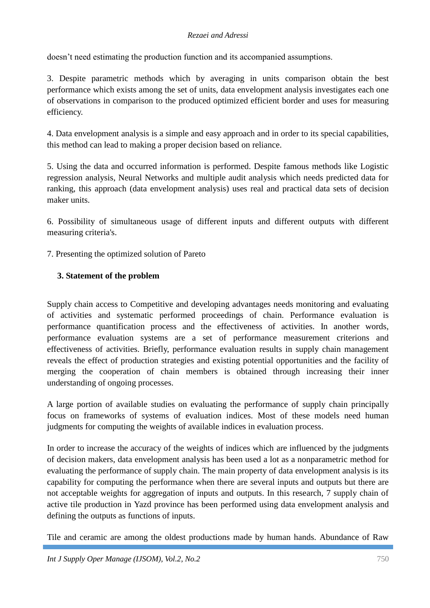#### *Rezaei and Adressi*

doesn't need estimating the production function and its accompanied assumptions.

3. Despite parametric methods which by averaging in units comparison obtain the best performance which exists among the set of units, data envelopment analysis investigates each one of observations in comparison to the produced optimized efficient border and uses for measuring efficiency.

4. Data envelopment analysis is a simple and easy approach and in order to its special capabilities, this method can lead to making a proper decision based on reliance.

5. Using the data and occurred information is performed. Despite famous methods like Logistic regression analysis, Neural Networks and multiple audit analysis which needs predicted data for ranking, this approach (data envelopment analysis) uses real and practical data sets of decision maker units.

6. Possibility of simultaneous usage of different inputs and different outputs with different measuring criteria's.

7. Presenting the optimized solution of Pareto

### **3. Statement of the problem**

Supply chain access to Competitive and developing advantages needs monitoring and evaluating of activities and systematic performed proceedings of chain. Performance evaluation is performance quantification process and the effectiveness of activities. In another words, performance evaluation systems are a set of performance measurement criterions and effectiveness of activities. Briefly, performance evaluation results in supply chain management reveals the effect of production strategies and existing potential opportunities and the facility of merging the cooperation of chain members is obtained through increasing their inner understanding of ongoing processes.

A large portion of available studies on evaluating the performance of supply chain principally focus on frameworks of systems of evaluation indices. Most of these models need human judgments for computing the weights of available indices in evaluation process.

In order to increase the accuracy of the weights of indices which are influenced by the judgments of decision makers, data envelopment analysis has been used a lot as a nonparametric method for evaluating the performance of supply chain. The main property of data envelopment analysis is its capability for computing the performance when there are several inputs and outputs but there are not acceptable weights for aggregation of inputs and outputs. In this research, 7 supply chain of active tile production in Yazd province has been performed using data envelopment analysis and defining the outputs as functions of inputs.

Tile and ceramic are among the oldest productions made by human hands. Abundance of Raw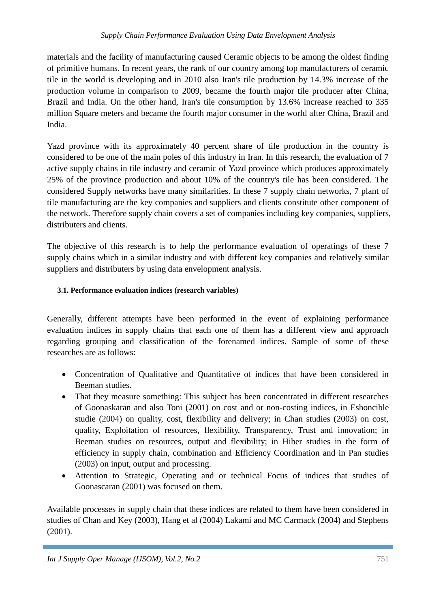#### *Supply Chain Performance Evaluation Using Data Envelopment Analysis*

materials and the facility of manufacturing caused Ceramic objects to be among the oldest finding of primitive humans. In recent years, the rank of our country among top manufacturers of ceramic tile in the world is developing and in 2010 also Iran's tile production by 14.3% increase of the production volume in comparison to 2009, became the fourth major tile producer after China, Brazil and India. On the other hand, Iran's tile consumption by 13.6% increase reached to 335 million Square meters and became the fourth major consumer in the world after China, Brazil and India.

Yazd province with its approximately 40 percent share of tile production in the country is considered to be one of the main poles of this industry in Iran. In this research, the evaluation of 7 active supply chains in tile industry and ceramic of Yazd province which produces approximately 25% of the province production and about 10% of the country's tile has been considered. The considered Supply networks have many similarities. In these 7 supply chain networks, 7 plant of tile manufacturing are the key companies and suppliers and clients constitute other component of the network. Therefore supply chain covers a set of companies including key companies, suppliers, distributers and clients.

The objective of this research is to help the performance evaluation of operatings of these 7 supply chains which in a similar industry and with different key companies and relatively similar suppliers and distributers by using data envelopment analysis.

### **3.1. Performance evaluation indices (research variables)**

Generally, different attempts have been performed in the event of explaining performance evaluation indices in supply chains that each one of them has a different view and approach regarding grouping and classification of the forenamed indices. Sample of some of these researches are as follows:

- Concentration of Qualitative and Quantitative of indices that have been considered in Beeman studies.
- That they measure something: This subject has been concentrated in different researches of Goonaskaran and also Toni (2001) on cost and or non-costing indices, in Eshoncible studie (2004) on quality, cost, flexibility and delivery; in Chan studies (2003) on cost, quality, Exploitation of resources, flexibility, Transparency, Trust and innovation; in Beeman studies on resources, output and flexibility; in Hiber studies in the form of efficiency in supply chain, combination and Efficiency Coordination and in Pan studies (2003) on input, output and processing.
- Attention to Strategic, Operating and or technical Focus of indices that studies of Goonascaran (2001) was focused on them.

Available processes in supply chain that these indices are related to them have been considered in studies of Chan and Key (2003), Hang et al (2004) Lakami and MC Carmack (2004) and Stephens (2001).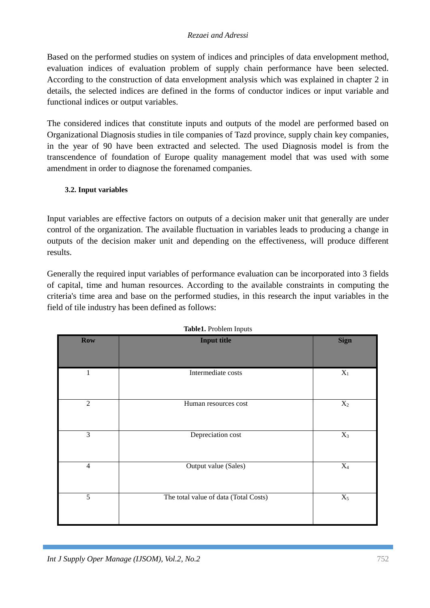#### *Rezaei and Adressi*

Based on the performed studies on system of indices and principles of data envelopment method, evaluation indices of evaluation problem of supply chain performance have been selected. According to the construction of data envelopment analysis which was explained in chapter 2 in details, the selected indices are defined in the forms of conductor indices or input variable and functional indices or output variables.

The considered indices that constitute inputs and outputs of the model are performed based on Organizational Diagnosis studies in tile companies of Tazd province, supply chain key companies, in the year of 90 have been extracted and selected. The used Diagnosis model is from the transcendence of foundation of Europe quality management model that was used with some amendment in order to diagnose the forenamed companies.

#### **3.2. Input variables**

Input variables are effective factors on outputs of a decision maker unit that generally are under control of the organization. The available fluctuation in variables leads to producing a change in outputs of the decision maker unit and depending on the effectiveness, will produce different results.

Generally the required input variables of performance evaluation can be incorporated into 3 fields of capital, time and human resources. According to the available constraints in computing the criteria's time area and base on the performed studies, in this research the input variables in the field of tile industry has been defined as follows:

| ---------- <u>-</u> ---- |                                       |                |  |  |
|--------------------------|---------------------------------------|----------------|--|--|
| <b>Row</b>               | <b>Input title</b>                    | <b>Sign</b>    |  |  |
| 1                        | Intermediate costs                    | $\mathbf{X}_1$ |  |  |
| $\overline{2}$           | Human resources cost                  | $X_2$          |  |  |
| 3                        | Depreciation cost                     | $X_3$          |  |  |
| $\overline{4}$           | Output value (Sales)                  | $\mathbf{X}_4$ |  |  |
| 5                        | The total value of data (Total Costs) | $X_5$          |  |  |

**Table1.** Problem Inputs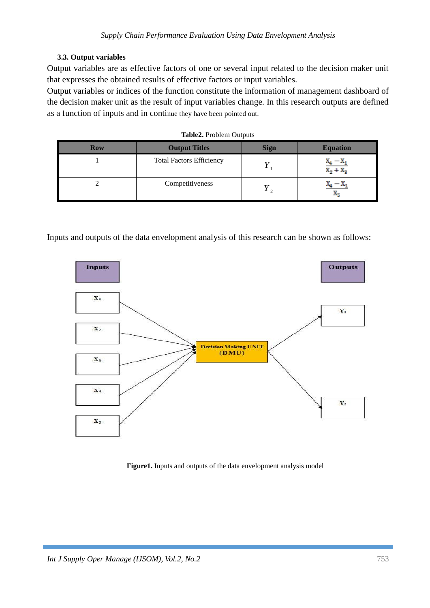#### **3.3. Output variables**

Output variables are as effective factors of one or several input related to the decision maker unit that expresses the obtained results of effective factors or input variables.

Output variables or indices of the function constitute the information of management dashboard of the decision maker unit as the result of input variables change. In this research outputs are defined as a function of inputs and in continue they have been pointed out.

| <b>Row</b> | <b>Output Titles</b>            | <b>Sign</b> | <b>Equation</b>      |
|------------|---------------------------------|-------------|----------------------|
|            | <b>Total Factors Efficiency</b> |             | $X_2 + X_2$          |
|            | Competitiveness                 |             | - 40<br>$\mathbf{v}$ |

Inputs and outputs of the data envelopment analysis of this research can be shown as follows:



**Figure1.** Inputs and outputs of the data envelopment analysis model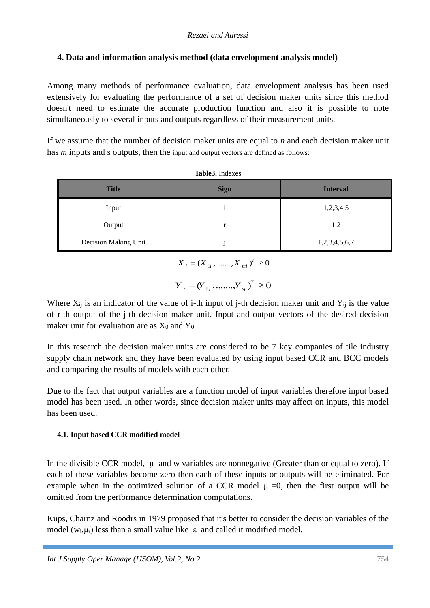## **4. Data and information analysis method (data envelopment analysis model)**

Among many methods of performance evaluation, data envelopment analysis has been used extensively for evaluating the performance of a set of decision maker units since this method doesn't need to estimate the accurate production function and also it is possible to note simultaneously to several inputs and outputs regardless of their measurement units.

If we assume that the number of decision maker units are equal to *n* and each decision maker unit has *m* inputs and *s* outputs, then the input and output vectors are defined as follows:

| THUICO, HIGANO       |             |                 |  |  |  |
|----------------------|-------------|-----------------|--|--|--|
| <b>Title</b>         | <b>Sign</b> | <b>Interval</b> |  |  |  |
| Input                |             | 1,2,3,4,5       |  |  |  |
| Output               |             | 1,2             |  |  |  |
| Decision Making Unit |             | 1,2,3,4,5,6,7   |  |  |  |

**Table3.** Indexes

 $X_i = (X_{1i}, \dots, X_{mi})^T \ge 0$ 

$$
Y_{j} = (Y_{1j}, \dots, Y_{sj})^{T} \ge 0
$$

Where  $X_{ij}$  is an indicator of the value of i-th input of j-th decision maker unit and  $Y_{ij}$  is the value of r-th output of the j-th decision maker unit. Input and output vectors of the desired decision maker unit for evaluation are as  $X_0$  and  $Y_0$ .

In this research the decision maker units are considered to be 7 key companies of tile industry supply chain network and they have been evaluated by using input based CCR and BCC models and comparing the results of models with each other.

Due to the fact that output variables are a function model of input variables therefore input based model has been used. In other words, since decision maker units may affect on inputs, this model has been used.

### **4.1. Input based CCR modified model**

In the divisible CCR model,  $\mu$  and w variables are nonnegative (Greater than or equal to zero). If each of these variables become zero then each of these inputs or outputs will be eliminated. For example when in the optimized solution of a CCR model  $\mu_1=0$ , then the first output will be omitted from the performance determination computations.

Kups, Charnz and Roodrs in 1979 proposed that it's better to consider the decision variables of the model ( $w_i$ , $\mu_r$ ) less than a small value like  $\epsilon$  and called it modified model.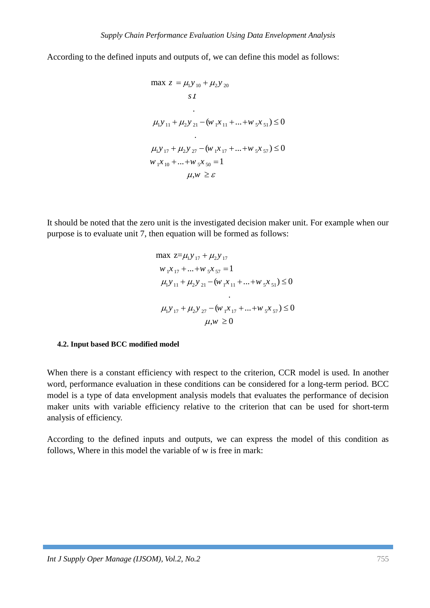According to the defined inputs and outputs of, we can define this model as follows:

$$
\max z = \mu_1 y_{10} + \mu_2 y_{20}
$$
  
\n
$$
s t
$$
  
\n
$$
\mu_1 y_{11} + \mu_2 y_{21} - (w_1 x_{11} + \dots + w_5 x_{51}) \le 0
$$
  
\n
$$
\mu_1 y_{17} + \mu_2 y_{27} - (w_1 x_{17} + \dots + w_5 x_{57}) \le 0
$$
  
\n
$$
w_1 x_{10} + \dots + w_5 x_{50} = 1
$$
  
\n
$$
\mu, w \ge \varepsilon
$$

It should be noted that the zero unit is the investigated decision maker unit. For example when our purpose is to evaluate unit 7, then equation will be formed as follows:

$$
\max \ z = \mu_1 y_{17} + \mu_2 y_{17}
$$
\n
$$
w_1 x_{17} + \dots + w_s x_{57} = 1
$$
\n
$$
\mu_1 y_{11} + \mu_2 y_{21} - (w_1 x_{11} + \dots + w_s x_{51}) \le 0
$$
\n
$$
\mu_1 y_{17} + \mu_2 y_{27} - (w_1 x_{17} + \dots + w_s x_{57}) \le 0
$$
\n
$$
\mu_1 w \ge 0
$$

#### **4.2. Input based BCC modified model**

When there is a constant efficiency with respect to the criterion, CCR model is used. In another word, performance evaluation in these conditions can be considered for a long-term period. BCC model is a type of data envelopment analysis models that evaluates the performance of decision maker units with variable efficiency relative to the criterion that can be used for short-term analysis of efficiency.

According to the defined inputs and outputs, we can express the model of this condition as follows, Where in this model the variable of w is free in mark: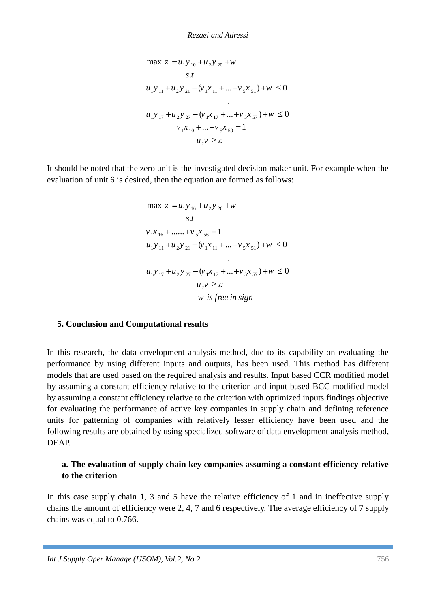$$
\max z = u_1 y_{10} + u_2 y_{20} + w
$$
  
s t  

$$
u_1 y_{11} + u_2 y_{21} - (v_1 x_{11} + ... + v_5 x_{51}) + w \le 0
$$
  

$$
u_1 y_{17} + u_2 y_{27} - (v_1 x_{17} + ... + v_5 x_{57}) + w \le 0
$$
  

$$
v_1 x_{10} + ... + v_5 x_{50} = 1
$$
  

$$
u, v \ge \varepsilon
$$

It should be noted that the zero unit is the investigated decision maker unit. For example when the evaluation of unit 6 is desired, then the equation are formed as follows:

$$
\max z = u_1 y_{16} + u_2 y_{26} + w
$$
  
\n
$$
s t
$$
  
\n
$$
v_1 x_{16} + \dots + v_5 x_{56} = 1
$$
  
\n
$$
u_1 y_{11} + u_2 y_{21} - (v_1 x_{11} + \dots + v_5 x_{51}) + w \le 0
$$
  
\n
$$
u_1 y_{17} + u_2 y_{27} - (v_1 x_{17} + \dots + v_5 x_{57}) + w \le 0
$$
  
\n
$$
u, v \ge \varepsilon
$$
  
\n
$$
w \text{ is free in sign}
$$

#### **5. Conclusion and Computational results**

**IDENT**<br> **IDENT AND THE VALUATION CONTRACT CONTRACT CONTRACT AND THE VALUATION OF DEATER AND NOTE OF THE CONTRACT CONTRACT CONTRACT CONTRACT CONTRACT CONTRACT CONTRACT CONTRACT CONTRACT CONTRACT CONTRACT CONTRACT CONTRACT** In this research, the data envelopment analysis method, due to its capability on evaluating the performance by using different inputs and outputs, has been used. This method has different models that are used based on the required analysis and results. Input based CCR modified model by assuming a constant efficiency relative to the criterion and input based BCC modified model by assuming a constant efficiency relative to the criterion with optimized inputs findings objective for evaluating the performance of active key companies in supply chain and defining reference units for patterning of companies with relatively lesser efficiency have been used and the following results are obtained by using specialized software of data envelopment analysis method, DEAP.

### **a. The evaluation of supply chain key companies assuming a constant efficiency relative to the criterion**

In this case supply chain 1, 3 and 5 have the relative efficiency of 1 and in ineffective supply chains the amount of efficiency were 2, 4, 7 and 6 respectively. The average efficiency of 7 supply chains was equal to 0.766.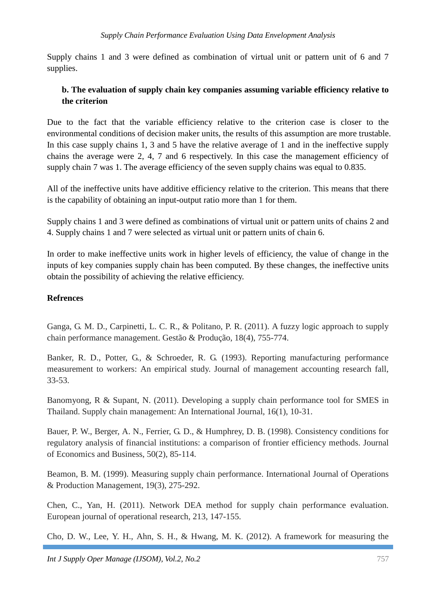Supply chains 1 and 3 were defined as combination of virtual unit or pattern unit of 6 and 7 supplies.

### **b. The evaluation of supply chain key companies assuming variable efficiency relative to the criterion**

Due to the fact that the variable efficiency relative to the criterion case is closer to the environmental conditions of decision maker units, the results of this assumption are more trustable. In this case supply chains 1, 3 and 5 have the relative average of 1 and in the ineffective supply chains the average were 2, 4, 7 and 6 respectively. In this case the management efficiency of supply chain 7 was 1. The average efficiency of the seven supply chains was equal to 0.835.

All of the ineffective units have additive efficiency relative to the criterion. This means that there is the capability of obtaining an input-output ratio more than 1 for them.

Supply chains 1 and 3 were defined as combinations of virtual unit or pattern units of chains 2 and 4. Supply chains 1 and 7 were selected as virtual unit or pattern units of chain 6.

In order to make ineffective units work in higher levels of efficiency, the value of change in the inputs of key companies supply chain has been computed. By these changes, the ineffective units obtain the possibility of achieving the relative efficiency.

### **Refrences**

Ganga, G. M. D., Carpinetti, L. C. R., & Politano, P. R. (2011). A fuzzy logic approach to supply chain performance management. Gestão & Produção, 18(4), 755-774.

Banker, R. D., Potter, G., & Schroeder, R. G. (1993). Reporting manufacturing performance measurement to workers: An empirical study. Journal of management accounting research fall, 33-53.

Banomyong, R & Supant, N. (2011). Developing a supply chain performance tool for SMES in Thailand. Supply chain management: An International Journal, 16(1), 10-31.

Bauer, P. W., Berger, A. N., Ferrier, G. D., & Humphrey, D. B. (1998). Consistency conditions for regulatory analysis of financial institutions: a comparison of frontier efficiency methods. Journal of Economics and Business, 50(2), 85-114.

Beamon, B. M. (1999). Measuring supply chain performance. International Journal of Operations & Production Management, 19(3), 275-292.

Chen, C., Yan, H. (2011). Network DEA method for supply chain performance evaluation. European journal of operational research, 213, 147-155.

Cho, D. W., Lee, Y. H., Ahn, S. H., & Hwang, M. K. (2012). A framework for measuring the